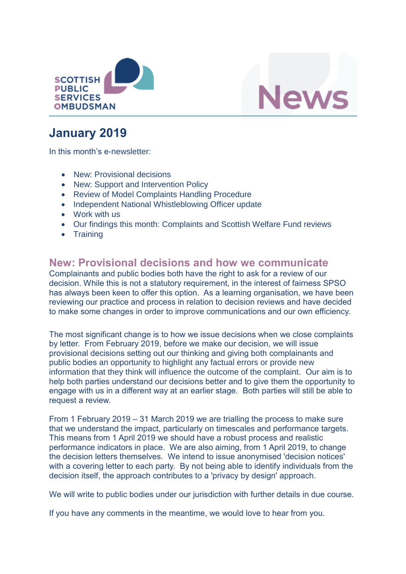



# **January 2019**

In this month's e-newsletter:

- New: Provisional decisions
- New: Support and Intervention Policy
- Review of Model Complaints Handling Procedure
- Independent National Whistleblowing Officer update
- Work with us
- Our findings this month: Complaints and Scottish Welfare Fund reviews
- Training

## **New: Provisional decisions and how we communicate**

Complainants and public bodies both have the right to ask for a review of our decision. While this is not a statutory requirement, in the interest of fairness SPSO has always been keen to offer this option. As a learning organisation, we have been reviewing our practice and process in relation to decision reviews and have decided to make some changes in order to improve communications and our own efficiency.

The most significant change is to how we issue decisions when we close complaints by letter. From February 2019, before we make our decision, we will issue provisional decisions setting out our thinking and giving both complainants and public bodies an opportunity to highlight any factual errors or provide new information that they think will influence the outcome of the complaint. Our aim is to help both parties understand our decisions better and to give them the opportunity to engage with us in a different way at an earlier stage. Both parties will still be able to request a review.

From 1 February 2019 – 31 March 2019 we are trialling the process to make sure that we understand the impact, particularly on timescales and performance targets. This means from 1 April 2019 we should have a robust process and realistic performance indicators in place. We are also aiming, from 1 April 2019, to change the decision letters themselves. We intend to issue anonymised 'decision notices' with a covering letter to each party. By not being able to identify individuals from the decision itself, the approach contributes to a 'privacy by design' approach.

We will write to public bodies under our jurisdiction with further details in due course.

If you have any comments in the meantime, we would love to hear from you.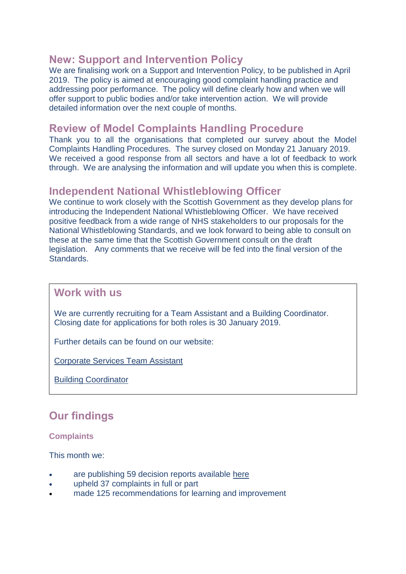## **New: Support and Intervention Policy**

We are finalising work on a Support and Intervention Policy, to be published in April 2019. The policy is aimed at encouraging good complaint handling practice and addressing poor performance. The policy will define clearly how and when we will offer support to public bodies and/or take intervention action. We will provide detailed information over the next couple of months.

## **Review of Model Complaints Handling Procedure**

Thank you to all the organisations that completed our survey about the Model Complaints Handling Procedures. The survey closed on Monday 21 January 2019. We received a good response from all sectors and have a lot of feedback to work through. We are analysing the information and will update you when this is complete.

### **Independent National Whistleblowing Officer**

We continue to work closely with the Scottish Government as they develop plans for introducing the Independent National Whistleblowing Officer. We have received positive feedback from a wide range of NHS stakeholders to our proposals for the National Whistleblowing Standards, and we look forward to being able to consult on these at the same time that the Scottish Government consult on the draft legislation. Any comments that we receive will be fed into the final version of the **Standards** 

### **Work with us**

We are currently recruiting for a Team Assistant and a Building Coordinator. Closing date for applications for both roles is 30 January 2019.

Further details can be found on our website:

[Corporate Services Team Assistant](https://www.spso.org.uk/vacancy-corporate-services-team-assistant) 

[Building Coordinator](https://www.spso.org.uk/news-and-media/vacancy-building-coordinator) 

# **Our findings**

#### **Complaints**

This month we:

- are publishing 59 decision reports available [here](https://www.spso.org.uk/our-findings)
- upheld 37 complaints in full or part
- made 125 recommendations for learning and improvement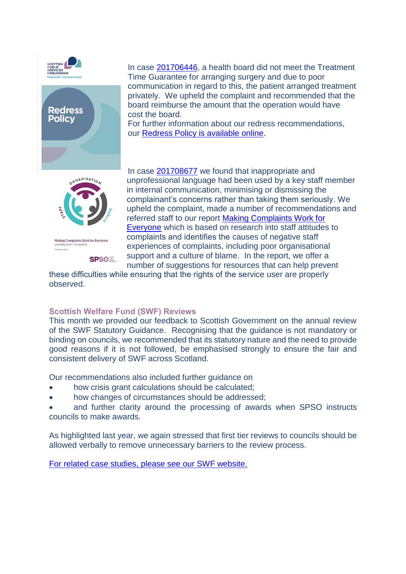



In case [201706446,](https://www.spso.org.uk/decision-reports/2019/january/decision-report-201706446-201706446) a health board did not meet the Treatment Time Guarantee for arranging surgery and due to poor communication in regard to this, the patient arranged treatment privately. We upheld the complaint and recommended that the board reimburse the amount that the operation would have cost the board.

For further information about our redress recommendations, our [Redress Policy is available online.](https://www.spso.org.uk/sites/spso/files/communications_material/2019%20Redress%20Policy.pdf)



Making Complaints Work for Everyone

**SPSOE** 

In case [201708677](https://www.spso.org.uk/decision-reports/2019/january/decision-report-201708677-201708677) we found that inappropriate and unprofessional language had been used by a key staff member in internal communication, minimising or dismissing the complainant's concerns rather than taking them seriously. We upheld the complaint, made a number of recommendations and referred staff to our report [Making Complaints Work for](https://www.spso.org.uk/sites/spso/files/communications_material/Thematic_Reports/MakingComplaintsWorkForEveryoneFinalWeb.pdf)  [Everyone](https://www.spso.org.uk/sites/spso/files/communications_material/Thematic_Reports/MakingComplaintsWorkForEveryoneFinalWeb.pdf) which is based on research into staff attitudes to complaints and identifies the causes of negative staff experiences of complaints, including poor organisational support and a culture of blame. In the report, we offer a number of suggestions for resources that can help prevent

these difficulties while ensuring that the rights of the service user are properly observed.

#### **Scottish Welfare Fund (SWF) Reviews**

This month we provided our feedback to Scottish Government on the annual review of the SWF Statutory Guidance. Recognising that the guidance is not mandatory or binding on councils, we recommended that its statutory nature and the need to provide good reasons if it is not followed, be emphasised strongly to ensure the fair and consistent delivery of SWF across Scotland.

Our recommendations also included further guidance on

- how crisis grant calculations should be calculated;
- how changes of circumstances should be addressed;

 and further clarity around the processing of awards when SPSO instructs councils to make awards.

As highlighted last year, we again stressed that first tier reviews to councils should be allowed verbally to remove unnecessary barriers to the review process.

[For related case studies, please see our SWF website.](https://www.spso.org.uk/scottishwelfarefund/case-summaries#undefined)